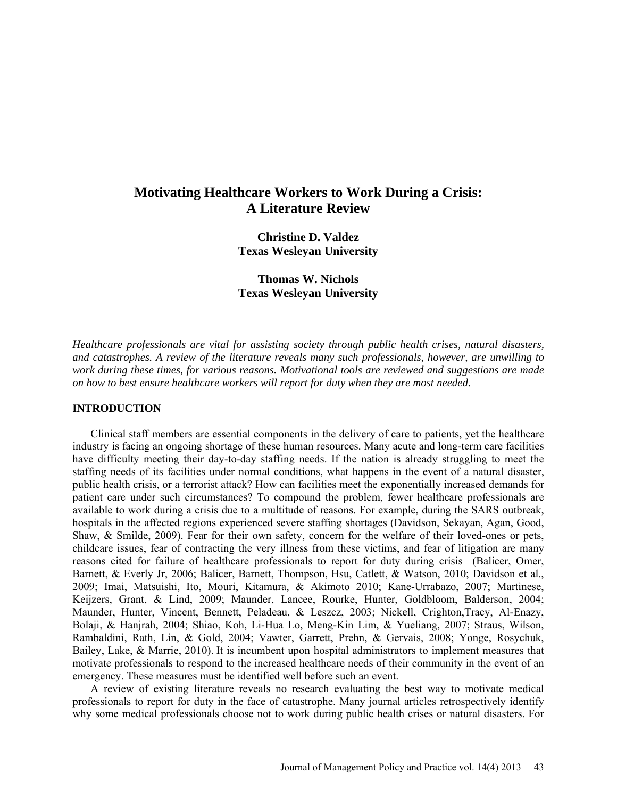# **Motivating Healthcare Workers to Work During a Crisis: A Literature Review**

**Christine D. Valdez Texas Wesleyan University**

**Thomas W. Nichols Texas Wesleyan University**

*Healthcare professionals are vital for assisting society through public health crises, natural disasters, and catastrophes. A review of the literature reveals many such professionals, however, are unwilling to work during these times, for various reasons. Motivational tools are reviewed and suggestions are made on how to best ensure healthcare workers will report for duty when they are most needed.*

## **INTRODUCTION**

Clinical staff members are essential components in the delivery of care to patients, yet the healthcare industry is facing an ongoing shortage of these human resources. Many acute and long-term care facilities have difficulty meeting their day-to-day staffing needs. If the nation is already struggling to meet the staffing needs of its facilities under normal conditions, what happens in the event of a natural disaster, public health crisis, or a terrorist attack? How can facilities meet the exponentially increased demands for patient care under such circumstances? To compound the problem, fewer healthcare professionals are available to work during a crisis due to a multitude of reasons. For example, during the SARS outbreak, hospitals in the affected regions experienced severe staffing shortages (Davidson, Sekayan, Agan, Good, Shaw, & Smilde, 2009). Fear for their own safety, concern for the welfare of their loved-ones or pets, childcare issues, fear of contracting the very illness from these victims, and fear of litigation are many reasons cited for failure of healthcare professionals to report for duty during crisis (Balicer, Omer, Barnett, & Everly Jr, 2006; Balicer, Barnett, Thompson, Hsu, Catlett, & Watson, 2010; Davidson et al., 2009; Imai, Matsuishi, Ito, Mouri, Kitamura, & Akimoto 2010; Kane-Urrabazo, 2007; Martinese, Keijzers, Grant, & Lind, 2009; Maunder, Lancee, Rourke, Hunter, Goldbloom, Balderson, 2004; Maunder, Hunter, Vincent, Bennett, Peladeau, & Leszcz, 2003; Nickell, Crighton,Tracy, Al-Enazy, Bolaji, & Hanjrah, 2004; Shiao, Koh, Li-Hua Lo, Meng-Kin Lim, & Yueliang, 2007; Straus, Wilson, Rambaldini, Rath, Lin, & Gold, 2004; Vawter, Garrett, Prehn, & Gervais, 2008; Yonge, Rosychuk, Bailey, Lake, & Marrie, 2010). It is incumbent upon hospital administrators to implement measures that motivate professionals to respond to the increased healthcare needs of their community in the event of an emergency. These measures must be identified well before such an event.

A review of existing literature reveals no research evaluating the best way to motivate medical professionals to report for duty in the face of catastrophe. Many journal articles retrospectively identify why some medical professionals choose not to work during public health crises or natural disasters. For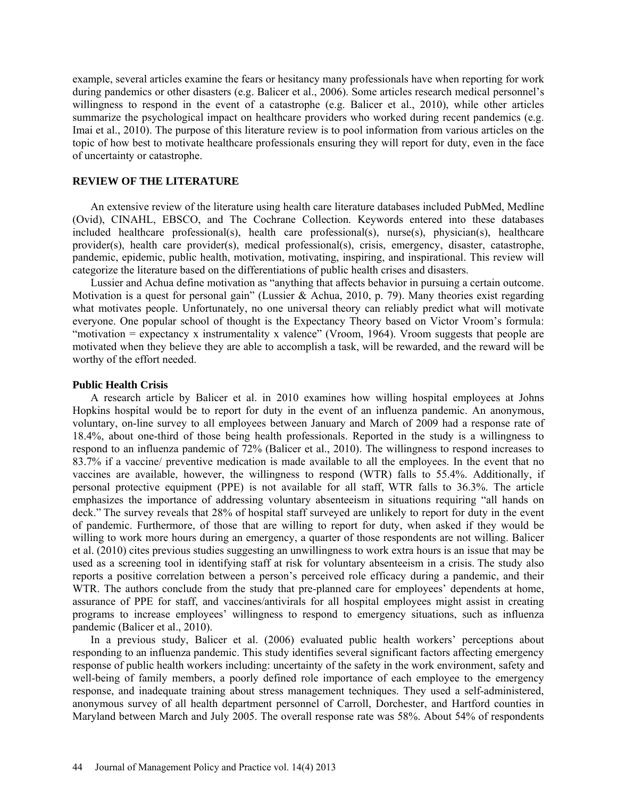example, several articles examine the fears or hesitancy many professionals have when reporting for work during pandemics or other disasters (e.g. Balicer et al., 2006). Some articles research medical personnel's willingness to respond in the event of a catastrophe (e.g. Balicer et al., 2010), while other articles summarize the psychological impact on healthcare providers who worked during recent pandemics (e.g. Imai et al., 2010). The purpose of this literature review is to pool information from various articles on the topic of how best to motivate healthcare professionals ensuring they will report for duty, even in the face of uncertainty or catastrophe.

## **REVIEW OF THE LITERATURE**

An extensive review of the literature using health care literature databases included PubMed, Medline (Ovid), CINAHL, EBSCO, and The Cochrane Collection. Keywords entered into these databases included healthcare professional(s), health care professional(s), nurse(s), physician(s), healthcare provider(s), health care provider(s), medical professional(s), crisis, emergency, disaster, catastrophe, pandemic, epidemic, public health, motivation, motivating, inspiring, and inspirational. This review will categorize the literature based on the differentiations of public health crises and disasters.

Lussier and Achua define motivation as "anything that affects behavior in pursuing a certain outcome. Motivation is a quest for personal gain" (Lussier & Achua, 2010, p. 79). Many theories exist regarding what motivates people. Unfortunately, no one universal theory can reliably predict what will motivate everyone. One popular school of thought is the Expectancy Theory based on Victor Vroom's formula: "motivation = expectancy x instrumentality x valence" (Vroom, 1964). Vroom suggests that people are motivated when they believe they are able to accomplish a task, will be rewarded, and the reward will be worthy of the effort needed.

## **Public Health Crisis**

A research article by Balicer et al. in 2010 examines how willing hospital employees at Johns Hopkins hospital would be to report for duty in the event of an influenza pandemic. An anonymous, voluntary, on-line survey to all employees between January and March of 2009 had a response rate of 18.4%, about one-third of those being health professionals. Reported in the study is a willingness to respond to an influenza pandemic of 72% (Balicer et al., 2010). The willingness to respond increases to 83.7% if a vaccine/ preventive medication is made available to all the employees. In the event that no vaccines are available, however, the willingness to respond (WTR) falls to 55.4%. Additionally, if personal protective equipment (PPE) is not available for all staff, WTR falls to 36.3%. The article emphasizes the importance of addressing voluntary absenteeism in situations requiring "all hands on deck." The survey reveals that 28% of hospital staff surveyed are unlikely to report for duty in the event of pandemic. Furthermore, of those that are willing to report for duty, when asked if they would be willing to work more hours during an emergency, a quarter of those respondents are not willing. Balicer et al. (2010) cites previous studies suggesting an unwillingness to work extra hours is an issue that may be used as a screening tool in identifying staff at risk for voluntary absenteeism in a crisis. The study also reports a positive correlation between a person's perceived role efficacy during a pandemic, and their WTR. The authors conclude from the study that pre-planned care for employees' dependents at home, assurance of PPE for staff, and vaccines/antivirals for all hospital employees might assist in creating programs to increase employees' willingness to respond to emergency situations, such as influenza pandemic (Balicer et al., 2010).

In a previous study, Balicer et al. (2006) evaluated public health workers' perceptions about responding to an influenza pandemic. This study identifies several significant factors affecting emergency response of public health workers including: uncertainty of the safety in the work environment, safety and well-being of family members, a poorly defined role importance of each employee to the emergency response, and inadequate training about stress management techniques. They used a self-administered, anonymous survey of all health department personnel of Carroll, Dorchester, and Hartford counties in Maryland between March and July 2005. The overall response rate was 58%. About 54% of respondents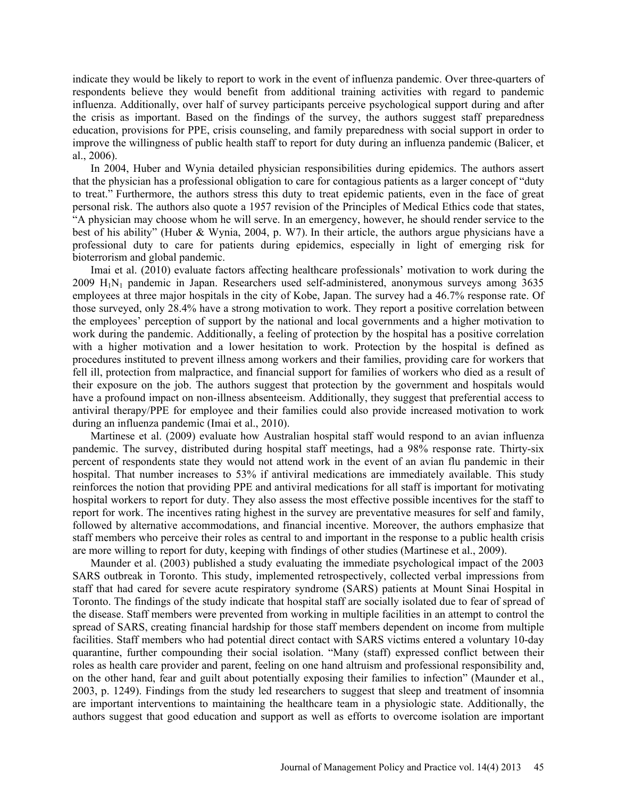indicate they would be likely to report to work in the event of influenza pandemic. Over three-quarters of respondents believe they would benefit from additional training activities with regard to pandemic influenza. Additionally, over half of survey participants perceive psychological support during and after the crisis as important. Based on the findings of the survey, the authors suggest staff preparedness education, provisions for PPE, crisis counseling, and family preparedness with social support in order to improve the willingness of public health staff to report for duty during an influenza pandemic (Balicer, et al., 2006).

In 2004, Huber and Wynia detailed physician responsibilities during epidemics. The authors assert that the physician has a professional obligation to care for contagious patients as a larger concept of "duty to treat." Furthermore, the authors stress this duty to treat epidemic patients, even in the face of great personal risk. The authors also quote a 1957 revision of the Principles of Medical Ethics code that states, "A physician may choose whom he will serve. In an emergency, however, he should render service to the best of his ability" (Huber & Wynia, 2004, p. W7). In their article, the authors argue physicians have a professional duty to care for patients during epidemics, especially in light of emerging risk for bioterrorism and global pandemic.

Imai et al. (2010) evaluate factors affecting healthcare professionals' motivation to work during the  $2009$   $H_1N_1$  pandemic in Japan. Researchers used self-administered, anonymous surveys among 3635 employees at three major hospitals in the city of Kobe, Japan. The survey had a 46.7% response rate. Of those surveyed, only 28.4% have a strong motivation to work. They report a positive correlation between the employees' perception of support by the national and local governments and a higher motivation to work during the pandemic. Additionally, a feeling of protection by the hospital has a positive correlation with a higher motivation and a lower hesitation to work. Protection by the hospital is defined as procedures instituted to prevent illness among workers and their families, providing care for workers that fell ill, protection from malpractice, and financial support for families of workers who died as a result of their exposure on the job. The authors suggest that protection by the government and hospitals would have a profound impact on non-illness absenteeism. Additionally, they suggest that preferential access to antiviral therapy/PPE for employee and their families could also provide increased motivation to work during an influenza pandemic (Imai et al., 2010).

Martinese et al. (2009) evaluate how Australian hospital staff would respond to an avian influenza pandemic. The survey, distributed during hospital staff meetings, had a 98% response rate. Thirty-six percent of respondents state they would not attend work in the event of an avian flu pandemic in their hospital. That number increases to 53% if antiviral medications are immediately available. This study reinforces the notion that providing PPE and antiviral medications for all staff is important for motivating hospital workers to report for duty. They also assess the most effective possible incentives for the staff to report for work. The incentives rating highest in the survey are preventative measures for self and family, followed by alternative accommodations, and financial incentive. Moreover, the authors emphasize that staff members who perceive their roles as central to and important in the response to a public health crisis are more willing to report for duty, keeping with findings of other studies (Martinese et al., 2009).

Maunder et al. (2003) published a study evaluating the immediate psychological impact of the 2003 SARS outbreak in Toronto. This study, implemented retrospectively, collected verbal impressions from staff that had cared for severe acute respiratory syndrome (SARS) patients at Mount Sinai Hospital in Toronto. The findings of the study indicate that hospital staff are socially isolated due to fear of spread of the disease. Staff members were prevented from working in multiple facilities in an attempt to control the spread of SARS, creating financial hardship for those staff members dependent on income from multiple facilities. Staff members who had potential direct contact with SARS victims entered a voluntary 10-day quarantine, further compounding their social isolation. "Many (staff) expressed conflict between their roles as health care provider and parent, feeling on one hand altruism and professional responsibility and, on the other hand, fear and guilt about potentially exposing their families to infection" (Maunder et al., 2003, p. 1249). Findings from the study led researchers to suggest that sleep and treatment of insomnia are important interventions to maintaining the healthcare team in a physiologic state. Additionally, the authors suggest that good education and support as well as efforts to overcome isolation are important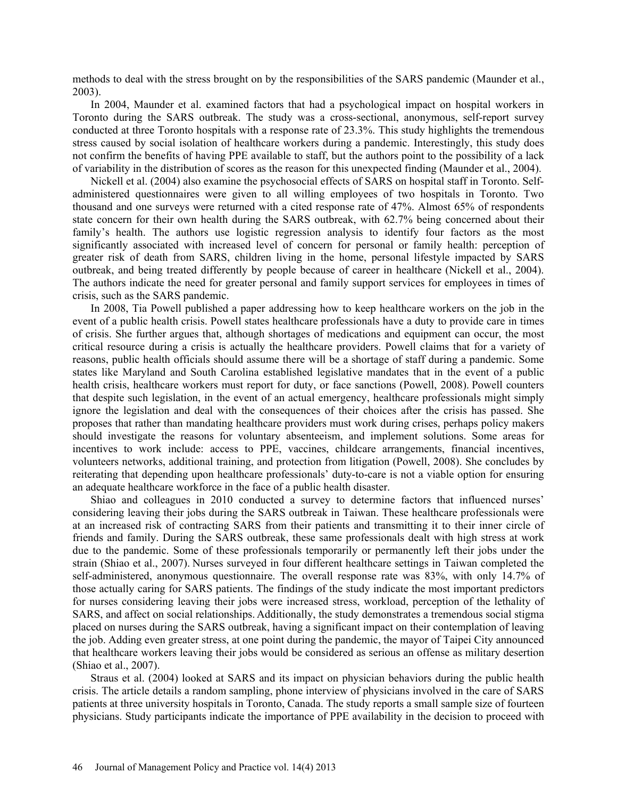methods to deal with the stress brought on by the responsibilities of the SARS pandemic (Maunder et al., 2003).

In 2004, Maunder et al. examined factors that had a psychological impact on hospital workers in Toronto during the SARS outbreak. The study was a cross-sectional, anonymous, self-report survey conducted at three Toronto hospitals with a response rate of 23.3%. This study highlights the tremendous stress caused by social isolation of healthcare workers during a pandemic. Interestingly, this study does not confirm the benefits of having PPE available to staff, but the authors point to the possibility of a lack of variability in the distribution of scores as the reason for this unexpected finding (Maunder et al., 2004).

Nickell et al. (2004) also examine the psychosocial effects of SARS on hospital staff in Toronto. Selfadministered questionnaires were given to all willing employees of two hospitals in Toronto. Two thousand and one surveys were returned with a cited response rate of 47%. Almost 65% of respondents state concern for their own health during the SARS outbreak, with 62.7% being concerned about their family's health. The authors use logistic regression analysis to identify four factors as the most significantly associated with increased level of concern for personal or family health: perception of greater risk of death from SARS, children living in the home, personal lifestyle impacted by SARS outbreak, and being treated differently by people because of career in healthcare (Nickell et al., 2004). The authors indicate the need for greater personal and family support services for employees in times of crisis, such as the SARS pandemic.

In 2008, Tia Powell published a paper addressing how to keep healthcare workers on the job in the event of a public health crisis. Powell states healthcare professionals have a duty to provide care in times of crisis. She further argues that, although shortages of medications and equipment can occur, the most critical resource during a crisis is actually the healthcare providers. Powell claims that for a variety of reasons, public health officials should assume there will be a shortage of staff during a pandemic. Some states like Maryland and South Carolina established legislative mandates that in the event of a public health crisis, healthcare workers must report for duty, or face sanctions (Powell, 2008). Powell counters that despite such legislation, in the event of an actual emergency, healthcare professionals might simply ignore the legislation and deal with the consequences of their choices after the crisis has passed. She proposes that rather than mandating healthcare providers must work during crises, perhaps policy makers should investigate the reasons for voluntary absenteeism, and implement solutions. Some areas for incentives to work include: access to PPE, vaccines, childcare arrangements, financial incentives, volunteers networks, additional training, and protection from litigation (Powell, 2008). She concludes by reiterating that depending upon healthcare professionals' duty-to-care is not a viable option for ensuring an adequate healthcare workforce in the face of a public health disaster.

Shiao and colleagues in 2010 conducted a survey to determine factors that influenced nurses' considering leaving their jobs during the SARS outbreak in Taiwan. These healthcare professionals were at an increased risk of contracting SARS from their patients and transmitting it to their inner circle of friends and family. During the SARS outbreak, these same professionals dealt with high stress at work due to the pandemic. Some of these professionals temporarily or permanently left their jobs under the strain (Shiao et al., 2007). Nurses surveyed in four different healthcare settings in Taiwan completed the self-administered, anonymous questionnaire. The overall response rate was 83%, with only 14.7% of those actually caring for SARS patients. The findings of the study indicate the most important predictors for nurses considering leaving their jobs were increased stress, workload, perception of the lethality of SARS, and affect on social relationships. Additionally, the study demonstrates a tremendous social stigma placed on nurses during the SARS outbreak, having a significant impact on their contemplation of leaving the job. Adding even greater stress, at one point during the pandemic, the mayor of Taipei City announced that healthcare workers leaving their jobs would be considered as serious an offense as military desertion (Shiao et al., 2007).

Straus et al. (2004) looked at SARS and its impact on physician behaviors during the public health crisis. The article details a random sampling, phone interview of physicians involved in the care of SARS patients at three university hospitals in Toronto, Canada. The study reports a small sample size of fourteen physicians. Study participants indicate the importance of PPE availability in the decision to proceed with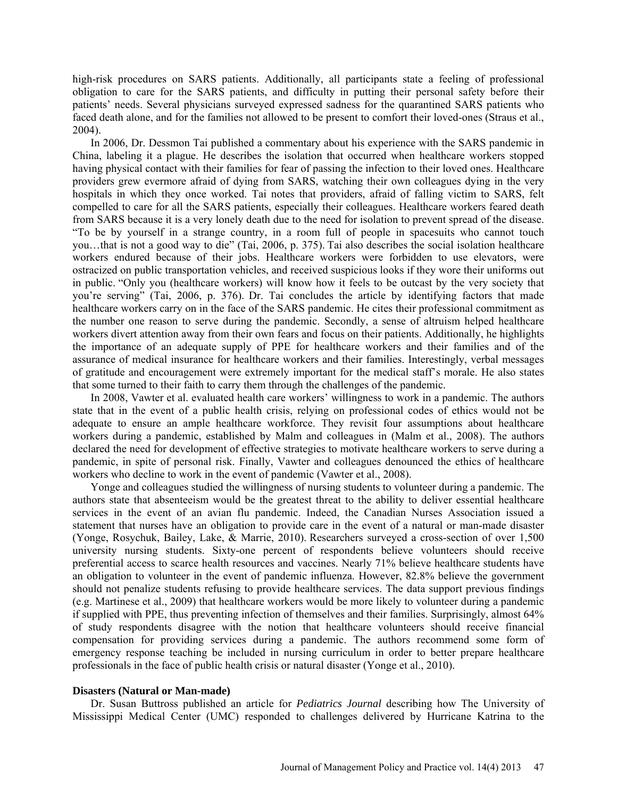high-risk procedures on SARS patients. Additionally, all participants state a feeling of professional obligation to care for the SARS patients, and difficulty in putting their personal safety before their patients' needs. Several physicians surveyed expressed sadness for the quarantined SARS patients who faced death alone, and for the families not allowed to be present to comfort their loved-ones (Straus et al., 2004).

In 2006, Dr. Dessmon Tai published a commentary about his experience with the SARS pandemic in China, labeling it a plague. He describes the isolation that occurred when healthcare workers stopped having physical contact with their families for fear of passing the infection to their loved ones. Healthcare providers grew evermore afraid of dying from SARS, watching their own colleagues dying in the very hospitals in which they once worked. Tai notes that providers, afraid of falling victim to SARS, felt compelled to care for all the SARS patients, especially their colleagues. Healthcare workers feared death from SARS because it is a very lonely death due to the need for isolation to prevent spread of the disease. "To be by yourself in a strange country, in a room full of people in spacesuits who cannot touch you…that is not a good way to die" (Tai, 2006, p. 375). Tai also describes the social isolation healthcare workers endured because of their jobs. Healthcare workers were forbidden to use elevators, were ostracized on public transportation vehicles, and received suspicious looks if they wore their uniforms out in public. "Only you (healthcare workers) will know how it feels to be outcast by the very society that you're serving" (Tai, 2006, p. 376). Dr. Tai concludes the article by identifying factors that made healthcare workers carry on in the face of the SARS pandemic. He cites their professional commitment as the number one reason to serve during the pandemic. Secondly, a sense of altruism helped healthcare workers divert attention away from their own fears and focus on their patients. Additionally, he highlights the importance of an adequate supply of PPE for healthcare workers and their families and of the assurance of medical insurance for healthcare workers and their families. Interestingly, verbal messages of gratitude and encouragement were extremely important for the medical staff's morale. He also states that some turned to their faith to carry them through the challenges of the pandemic.

In 2008, Vawter et al. evaluated health care workers' willingness to work in a pandemic. The authors state that in the event of a public health crisis, relying on professional codes of ethics would not be adequate to ensure an ample healthcare workforce. They revisit four assumptions about healthcare workers during a pandemic, established by Malm and colleagues in (Malm et al., 2008). The authors declared the need for development of effective strategies to motivate healthcare workers to serve during a pandemic, in spite of personal risk. Finally, Vawter and colleagues denounced the ethics of healthcare workers who decline to work in the event of pandemic (Vawter et al., 2008).

Yonge and colleagues studied the willingness of nursing students to volunteer during a pandemic. The authors state that absenteeism would be the greatest threat to the ability to deliver essential healthcare services in the event of an avian flu pandemic. Indeed, the Canadian Nurses Association issued a statement that nurses have an obligation to provide care in the event of a natural or man-made disaster (Yonge, Rosychuk, Bailey, Lake, & Marrie, 2010). Researchers surveyed a cross-section of over 1,500 university nursing students. Sixty-one percent of respondents believe volunteers should receive preferential access to scarce health resources and vaccines. Nearly 71% believe healthcare students have an obligation to volunteer in the event of pandemic influenza. However, 82.8% believe the government should not penalize students refusing to provide healthcare services. The data support previous findings (e.g. Martinese et al., 2009) that healthcare workers would be more likely to volunteer during a pandemic if supplied with PPE, thus preventing infection of themselves and their families. Surprisingly, almost 64% of study respondents disagree with the notion that healthcare volunteers should receive financial compensation for providing services during a pandemic. The authors recommend some form of emergency response teaching be included in nursing curriculum in order to better prepare healthcare professionals in the face of public health crisis or natural disaster (Yonge et al., 2010).

#### **Disasters (Natural or Man-made)**

Dr. Susan Buttross published an article for *Pediatrics Journal* describing how The University of Mississippi Medical Center (UMC) responded to challenges delivered by Hurricane Katrina to the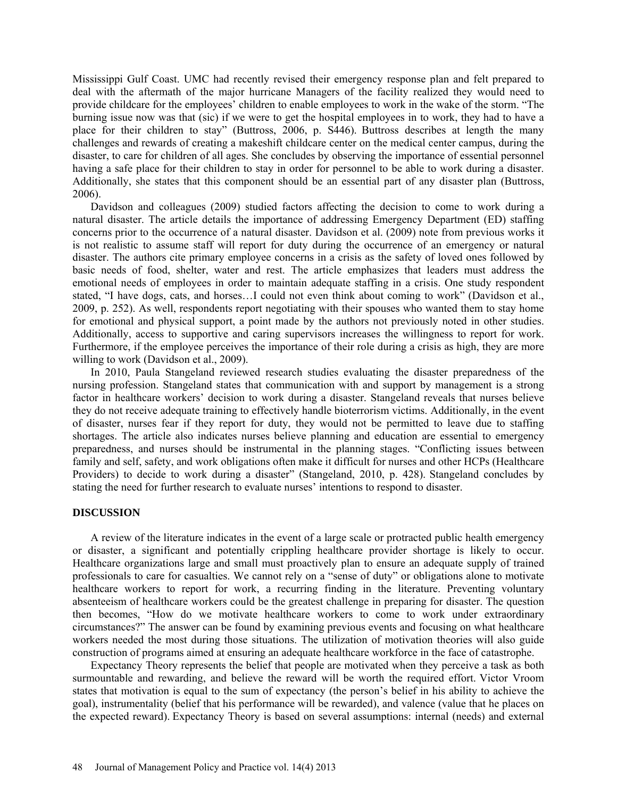Mississippi Gulf Coast. UMC had recently revised their emergency response plan and felt prepared to deal with the aftermath of the major hurricane Managers of the facility realized they would need to provide childcare for the employees' children to enable employees to work in the wake of the storm. "The burning issue now was that (sic) if we were to get the hospital employees in to work, they had to have a place for their children to stay" (Buttross, 2006, p. S446). Buttross describes at length the many challenges and rewards of creating a makeshift childcare center on the medical center campus, during the disaster, to care for children of all ages. She concludes by observing the importance of essential personnel having a safe place for their children to stay in order for personnel to be able to work during a disaster. Additionally, she states that this component should be an essential part of any disaster plan (Buttross, 2006).

Davidson and colleagues (2009) studied factors affecting the decision to come to work during a natural disaster. The article details the importance of addressing Emergency Department (ED) staffing concerns prior to the occurrence of a natural disaster. Davidson et al. (2009) note from previous works it is not realistic to assume staff will report for duty during the occurrence of an emergency or natural disaster. The authors cite primary employee concerns in a crisis as the safety of loved ones followed by basic needs of food, shelter, water and rest. The article emphasizes that leaders must address the emotional needs of employees in order to maintain adequate staffing in a crisis. One study respondent stated, "I have dogs, cats, and horses…I could not even think about coming to work" (Davidson et al., 2009, p. 252). As well, respondents report negotiating with their spouses who wanted them to stay home for emotional and physical support, a point made by the authors not previously noted in other studies. Additionally, access to supportive and caring supervisors increases the willingness to report for work. Furthermore, if the employee perceives the importance of their role during a crisis as high, they are more willing to work (Davidson et al., 2009).

In 2010, Paula Stangeland reviewed research studies evaluating the disaster preparedness of the nursing profession. Stangeland states that communication with and support by management is a strong factor in healthcare workers' decision to work during a disaster. Stangeland reveals that nurses believe they do not receive adequate training to effectively handle bioterrorism victims. Additionally, in the event of disaster, nurses fear if they report for duty, they would not be permitted to leave due to staffing shortages. The article also indicates nurses believe planning and education are essential to emergency preparedness, and nurses should be instrumental in the planning stages. "Conflicting issues between family and self, safety, and work obligations often make it difficult for nurses and other HCPs (Healthcare Providers) to decide to work during a disaster" (Stangeland, 2010, p. 428). Stangeland concludes by stating the need for further research to evaluate nurses' intentions to respond to disaster.

# **DISCUSSION**

A review of the literature indicates in the event of a large scale or protracted public health emergency or disaster, a significant and potentially crippling healthcare provider shortage is likely to occur. Healthcare organizations large and small must proactively plan to ensure an adequate supply of trained professionals to care for casualties. We cannot rely on a "sense of duty" or obligations alone to motivate healthcare workers to report for work, a recurring finding in the literature. Preventing voluntary absenteeism of healthcare workers could be the greatest challenge in preparing for disaster. The question then becomes, "How do we motivate healthcare workers to come to work under extraordinary circumstances?" The answer can be found by examining previous events and focusing on what healthcare workers needed the most during those situations. The utilization of motivation theories will also guide construction of programs aimed at ensuring an adequate healthcare workforce in the face of catastrophe.

Expectancy Theory represents the belief that people are motivated when they perceive a task as both surmountable and rewarding, and believe the reward will be worth the required effort. Victor Vroom states that motivation is equal to the sum of expectancy (the person's belief in his ability to achieve the goal), instrumentality (belief that his performance will be rewarded), and valence (value that he places on the expected reward). Expectancy Theory is based on several assumptions: internal (needs) and external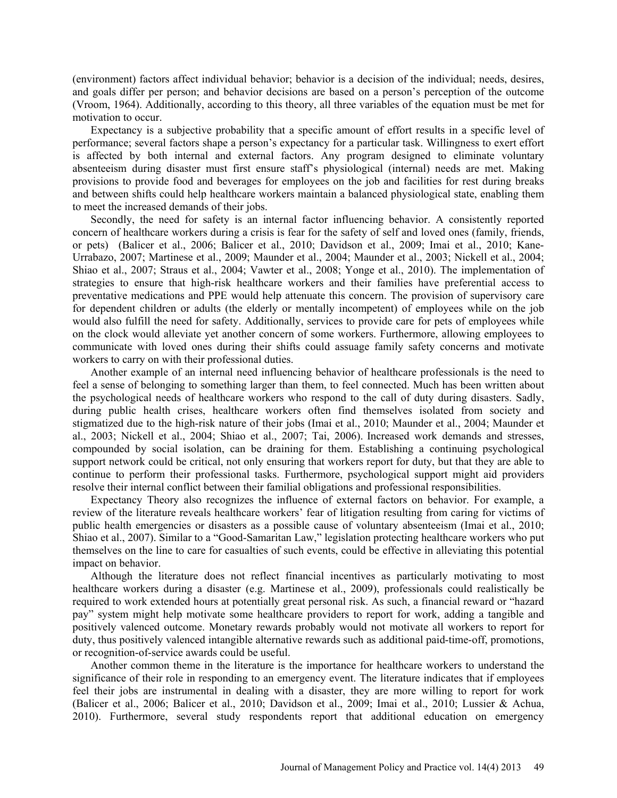(environment) factors affect individual behavior; behavior is a decision of the individual; needs, desires, and goals differ per person; and behavior decisions are based on a person's perception of the outcome (Vroom, 1964). Additionally, according to this theory, all three variables of the equation must be met for motivation to occur.

Expectancy is a subjective probability that a specific amount of effort results in a specific level of performance; several factors shape a person's expectancy for a particular task. Willingness to exert effort is affected by both internal and external factors. Any program designed to eliminate voluntary absenteeism during disaster must first ensure staff's physiological (internal) needs are met. Making provisions to provide food and beverages for employees on the job and facilities for rest during breaks and between shifts could help healthcare workers maintain a balanced physiological state, enabling them to meet the increased demands of their jobs.

Secondly, the need for safety is an internal factor influencing behavior. A consistently reported concern of healthcare workers during a crisis is fear for the safety of self and loved ones (family, friends, or pets) (Balicer et al., 2006; Balicer et al., 2010; Davidson et al., 2009; Imai et al., 2010; Kane-Urrabazo, 2007; Martinese et al., 2009; Maunder et al., 2004; Maunder et al., 2003; Nickell et al., 2004; Shiao et al., 2007; Straus et al., 2004; Vawter et al., 2008; Yonge et al., 2010). The implementation of strategies to ensure that high-risk healthcare workers and their families have preferential access to preventative medications and PPE would help attenuate this concern. The provision of supervisory care for dependent children or adults (the elderly or mentally incompetent) of employees while on the job would also fulfill the need for safety. Additionally, services to provide care for pets of employees while on the clock would alleviate yet another concern of some workers. Furthermore, allowing employees to communicate with loved ones during their shifts could assuage family safety concerns and motivate workers to carry on with their professional duties.

Another example of an internal need influencing behavior of healthcare professionals is the need to feel a sense of belonging to something larger than them, to feel connected. Much has been written about the psychological needs of healthcare workers who respond to the call of duty during disasters. Sadly, during public health crises, healthcare workers often find themselves isolated from society and stigmatized due to the high-risk nature of their jobs (Imai et al., 2010; Maunder et al., 2004; Maunder et al., 2003; Nickell et al., 2004; Shiao et al., 2007; Tai, 2006). Increased work demands and stresses, compounded by social isolation, can be draining for them. Establishing a continuing psychological support network could be critical, not only ensuring that workers report for duty, but that they are able to continue to perform their professional tasks. Furthermore, psychological support might aid providers resolve their internal conflict between their familial obligations and professional responsibilities.

Expectancy Theory also recognizes the influence of external factors on behavior. For example, a review of the literature reveals healthcare workers' fear of litigation resulting from caring for victims of public health emergencies or disasters as a possible cause of voluntary absenteeism (Imai et al., 2010; Shiao et al., 2007). Similar to a "Good-Samaritan Law," legislation protecting healthcare workers who put themselves on the line to care for casualties of such events, could be effective in alleviating this potential impact on behavior.

Although the literature does not reflect financial incentives as particularly motivating to most healthcare workers during a disaster (e.g. Martinese et al., 2009), professionals could realistically be required to work extended hours at potentially great personal risk. As such, a financial reward or "hazard pay" system might help motivate some healthcare providers to report for work, adding a tangible and positively valenced outcome. Monetary rewards probably would not motivate all workers to report for duty, thus positively valenced intangible alternative rewards such as additional paid-time-off, promotions, or recognition-of-service awards could be useful.

Another common theme in the literature is the importance for healthcare workers to understand the significance of their role in responding to an emergency event. The literature indicates that if employees feel their jobs are instrumental in dealing with a disaster, they are more willing to report for work (Balicer et al., 2006; Balicer et al., 2010; Davidson et al., 2009; Imai et al., 2010; Lussier & Achua, 2010). Furthermore, several study respondents report that additional education on emergency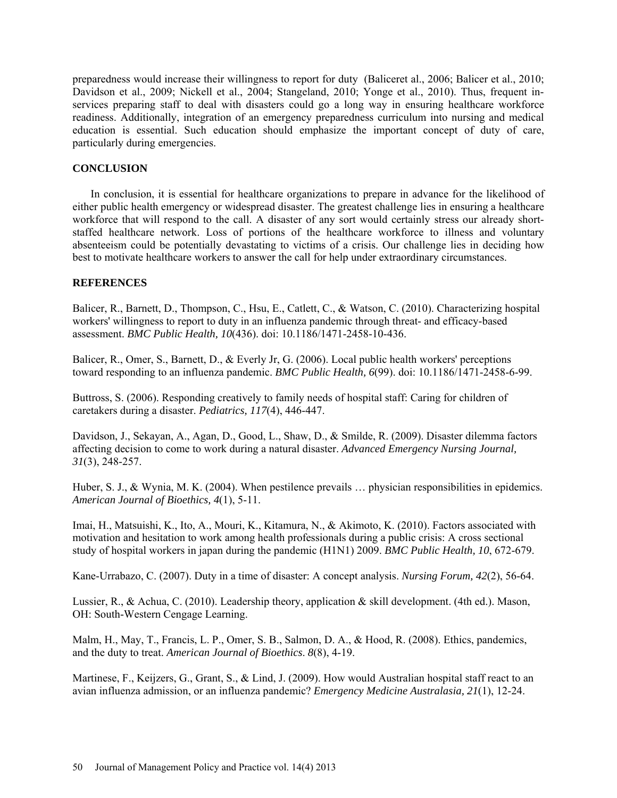preparedness would increase their willingness to report for duty (Baliceret al., 2006; Balicer et al., 2010; Davidson et al., 2009; Nickell et al., 2004; Stangeland, 2010; Yonge et al., 2010). Thus, frequent inservices preparing staff to deal with disasters could go a long way in ensuring healthcare workforce readiness. Additionally, integration of an emergency preparedness curriculum into nursing and medical education is essential. Such education should emphasize the important concept of duty of care, particularly during emergencies.

# **CONCLUSION**

In conclusion, it is essential for healthcare organizations to prepare in advance for the likelihood of either public health emergency or widespread disaster. The greatest challenge lies in ensuring a healthcare workforce that will respond to the call. A disaster of any sort would certainly stress our already shortstaffed healthcare network. Loss of portions of the healthcare workforce to illness and voluntary absenteeism could be potentially devastating to victims of a crisis. Our challenge lies in deciding how best to motivate healthcare workers to answer the call for help under extraordinary circumstances.

# **REFERENCES**

Balicer, R., Barnett, D., Thompson, C., Hsu, E., Catlett, C., & Watson, C. (2010). Characterizing hospital workers' willingness to report to duty in an influenza pandemic through threat- and efficacy-based assessment. *BMC Public Health, 10*(436). doi: 10.1186/1471-2458-10-436.

Balicer, R., Omer, S., Barnett, D., & Everly Jr, G. (2006). Local public health workers' perceptions toward responding to an influenza pandemic. *BMC Public Health, 6*(99). doi: 10.1186/1471-2458-6-99.

Buttross, S. (2006). Responding creatively to family needs of hospital staff: Caring for children of caretakers during a disaster. *Pediatrics, 117*(4), 446-447.

Davidson, J., Sekayan, A., Agan, D., Good, L., Shaw, D., & Smilde, R. (2009). Disaster dilemma factors affecting decision to come to work during a natural disaster. *Advanced Emergency Nursing Journal, 31*(3), 248-257.

Huber, S. J., & Wynia, M. K. (2004). When pestilence prevails … physician responsibilities in epidemics. *American Journal of Bioethics, 4*(1), 5-11.

Imai, H., Matsuishi, K., Ito, A., Mouri, K., Kitamura, N., & Akimoto, K. (2010). Factors associated with motivation and hesitation to work among health professionals during a public crisis: A cross sectional study of hospital workers in japan during the pandemic (H1N1) 2009. *BMC Public Health, 10*, 672-679.

Kane-Urrabazo, C. (2007). Duty in a time of disaster: A concept analysis. *Nursing Forum, 42*(2), 56-64.

Lussier, R., & Achua, C. (2010). Leadership theory, application & skill development. (4th ed.). Mason, OH: South-Western Cengage Learning.

Malm, H., May, T., Francis, L. P., Omer, S. B., Salmon, D. A., & Hood, R. (2008). Ethics, pandemics, and the duty to treat. *American Journal of Bioethics*. *8*(8), 4-19.

Martinese, F., Keijzers, G., Grant, S., & Lind, J. (2009). How would Australian hospital staff react to an avian influenza admission, or an influenza pandemic? *Emergency Medicine Australasia, 21*(1), 12-24.